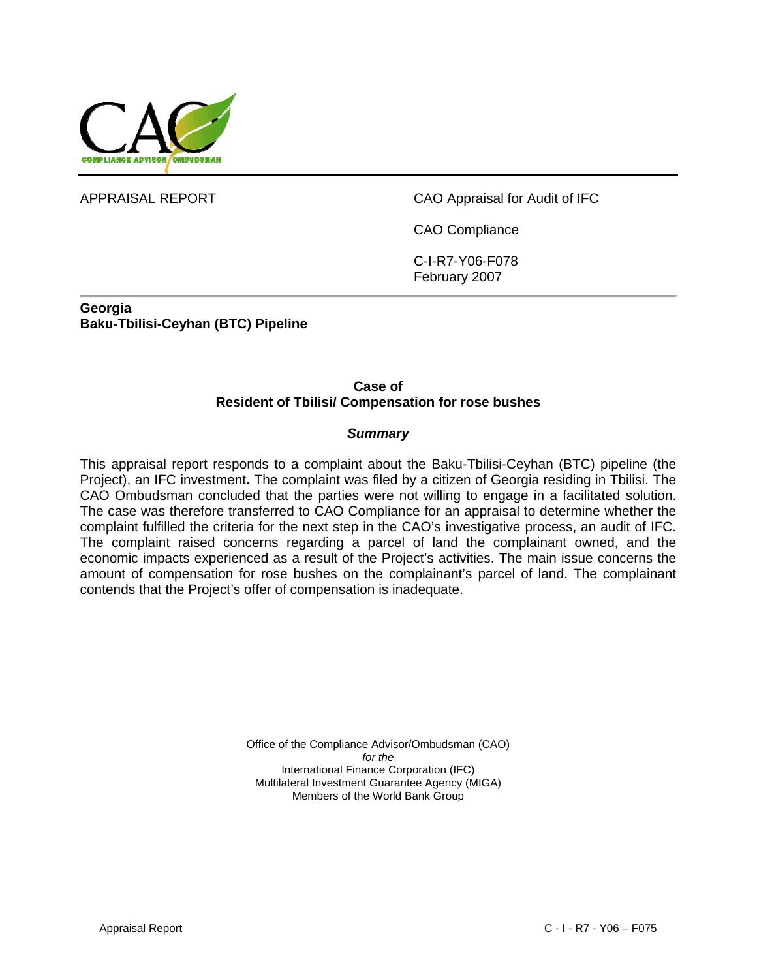

APPRAISAL REPORT CAO Appraisal for Audit of IFC

CAO Compliance

C-I-R7-Y06-F078 February 2007

**Georgia Baku-Tbilisi-Ceyhan (BTC) Pipeline** 

#### **Case of Resident of Tbilisi/ Compensation for rose bushes**

#### *Summary*

This appraisal report responds to a complaint about the Baku-Tbilisi-Ceyhan (BTC) pipeline (the Project), an IFC investment**.** The complaint was filed by a citizen of Georgia residing in Tbilisi. The CAO Ombudsman concluded that the parties were not willing to engage in a facilitated solution. The case was therefore transferred to CAO Compliance for an appraisal to determine whether the complaint fulfilled the criteria for the next step in the CAO's investigative process, an audit of IFC. The complaint raised concerns regarding a parcel of land the complainant owned, and the economic impacts experienced as a result of the Project's activities. The main issue concerns the amount of compensation for rose bushes on the complainant's parcel of land. The complainant contends that the Project's offer of compensation is inadequate.

> Office of the Compliance Advisor/Ombudsman (CAO) *for the*  International Finance Corporation (IFC) Multilateral Investment Guarantee Agency (MIGA) Members of the World Bank Group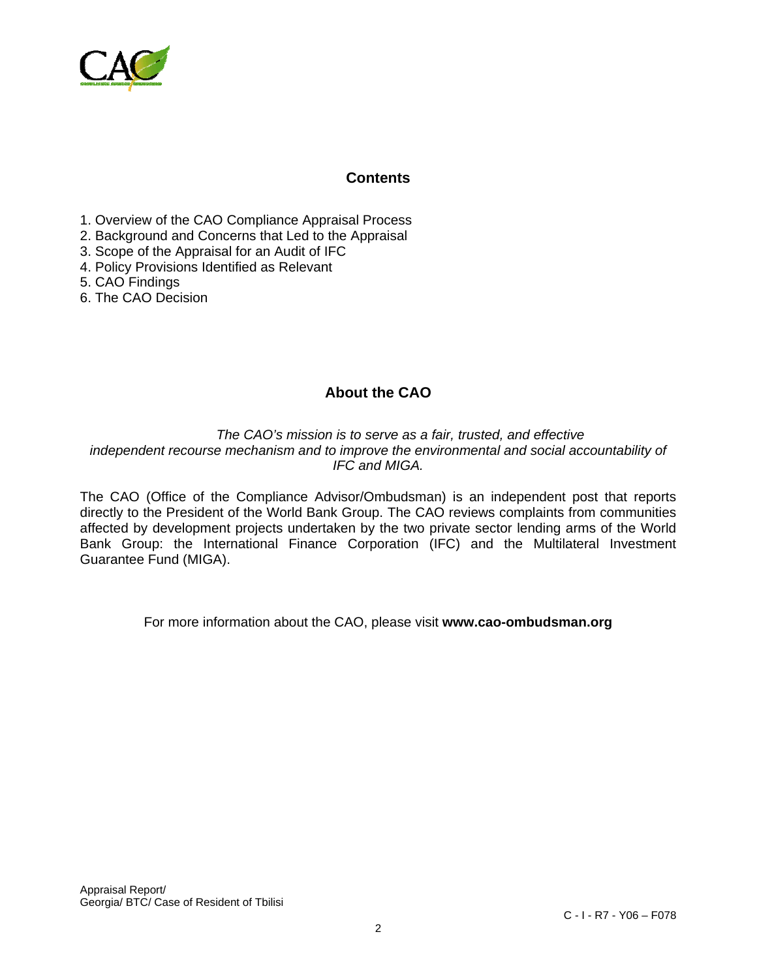

### **Contents**

- 1. Overview of the CAO Compliance Appraisal Process
- 2. Background and Concerns that Led to the Appraisal
- 3. Scope of the Appraisal for an Audit of IFC
- 4. Policy Provisions Identified as Relevant
- 5. CAO Findings
- 6. The CAO Decision

# **About the CAO**

*The CAO's mission is to serve as a fair, trusted, and effective independent recourse mechanism and to improve the environmental and social accountability of IFC and MIGA.* 

The CAO (Office of the Compliance Advisor/Ombudsman) is an independent post that reports directly to the President of the World Bank Group. The CAO reviews complaints from communities affected by development projects undertaken by the two private sector lending arms of the World Bank Group: the International Finance Corporation (IFC) and the Multilateral Investment Guarantee Fund (MIGA).

For more information about the CAO, please visit **www.cao-ombudsman.org**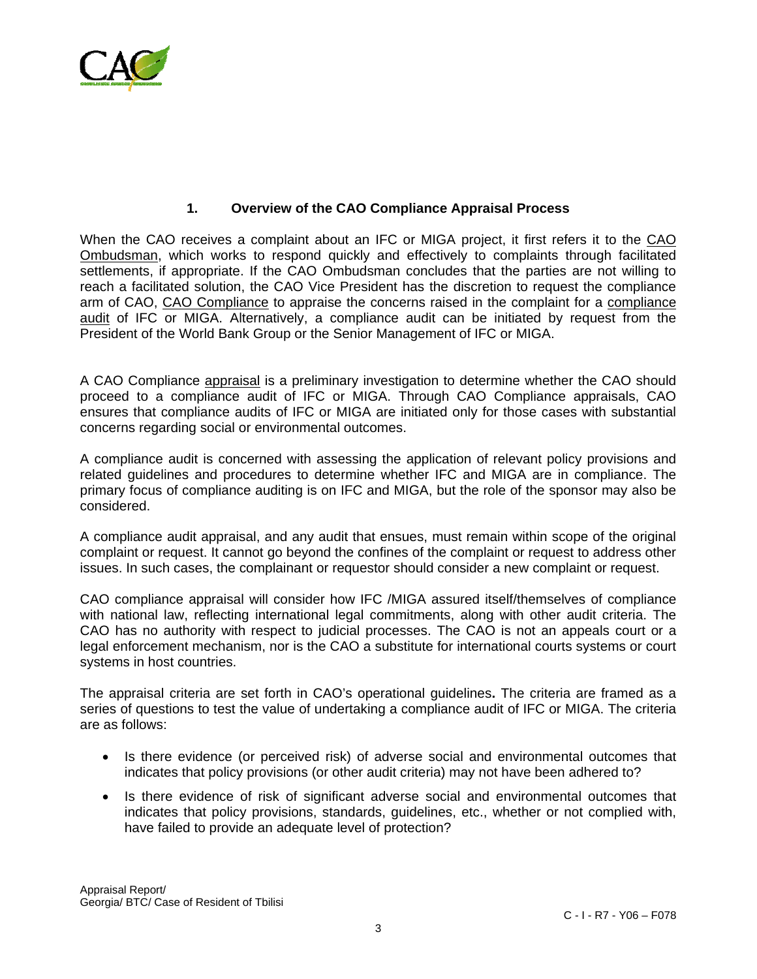

### **1. Overview of the CAO Compliance Appraisal Process**

When the CAO receives a complaint about an IFC or MIGA project, it first refers it to the CAO Ombudsman, which works to respond quickly and effectively to complaints through facilitated settlements, if appropriate. If the CAO Ombudsman concludes that the parties are not willing to reach a facilitated solution, the CAO Vice President has the discretion to request the compliance arm of CAO, CAO Compliance to appraise the concerns raised in the complaint for a compliance audit of IFC or MIGA. Alternatively, a compliance audit can be initiated by request from the President of the World Bank Group or the Senior Management of IFC or MIGA.

A CAO Compliance appraisal is a preliminary investigation to determine whether the CAO should proceed to a compliance audit of IFC or MIGA. Through CAO Compliance appraisals, CAO ensures that compliance audits of IFC or MIGA are initiated only for those cases with substantial concerns regarding social or environmental outcomes.

A compliance audit is concerned with assessing the application of relevant policy provisions and related guidelines and procedures to determine whether IFC and MIGA are in compliance. The primary focus of compliance auditing is on IFC and MIGA, but the role of the sponsor may also be considered.

A compliance audit appraisal, and any audit that ensues, must remain within scope of the original complaint or request. It cannot go beyond the confines of the complaint or request to address other issues. In such cases, the complainant or requestor should consider a new complaint or request.

CAO compliance appraisal will consider how IFC /MIGA assured itself/themselves of compliance with national law, reflecting international legal commitments, along with other audit criteria. The CAO has no authority with respect to judicial processes. The CAO is not an appeals court or a legal enforcement mechanism, nor is the CAO a substitute for international courts systems or court systems in host countries.

The appraisal criteria are set forth in CAO's operational guidelines**.** The criteria are framed as a series of questions to test the value of undertaking a compliance audit of IFC or MIGA. The criteria are as follows:

- Is there evidence (or perceived risk) of adverse social and environmental outcomes that indicates that policy provisions (or other audit criteria) may not have been adhered to?
- Is there evidence of risk of significant adverse social and environmental outcomes that indicates that policy provisions, standards, guidelines, etc., whether or not complied with, have failed to provide an adequate level of protection?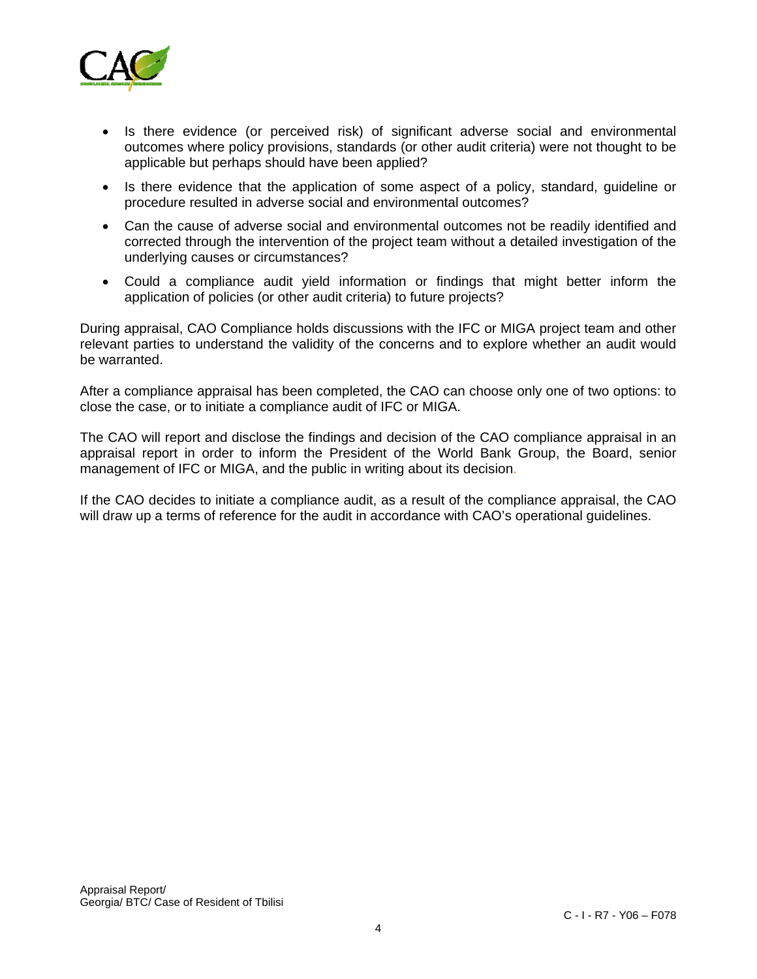

- Is there evidence (or perceived risk) of significant adverse social and environmental outcomes where policy provisions, standards (or other audit criteria) were not thought to be applicable but perhaps should have been applied?
- Is there evidence that the application of some aspect of a policy, standard, guideline or procedure resulted in adverse social and environmental outcomes?
- Can the cause of adverse social and environmental outcomes not be readily identified and corrected through the intervention of the project team without a detailed investigation of the underlying causes or circumstances?
- Could a compliance audit yield information or findings that might better inform the application of policies (or other audit criteria) to future projects?

During appraisal, CAO Compliance holds discussions with the IFC or MIGA project team and other relevant parties to understand the validity of the concerns and to explore whether an audit would be warranted.

After a compliance appraisal has been completed, the CAO can choose only one of two options: to close the case, or to initiate a compliance audit of IFC or MIGA.

The CAO will report and disclose the findings and decision of the CAO compliance appraisal in an appraisal report in order to inform the President of the World Bank Group, the Board, senior management of IFC or MIGA, and the public in writing about its decision.

If the CAO decides to initiate a compliance audit, as a result of the compliance appraisal, the CAO will draw up a terms of reference for the audit in accordance with CAO's operational guidelines.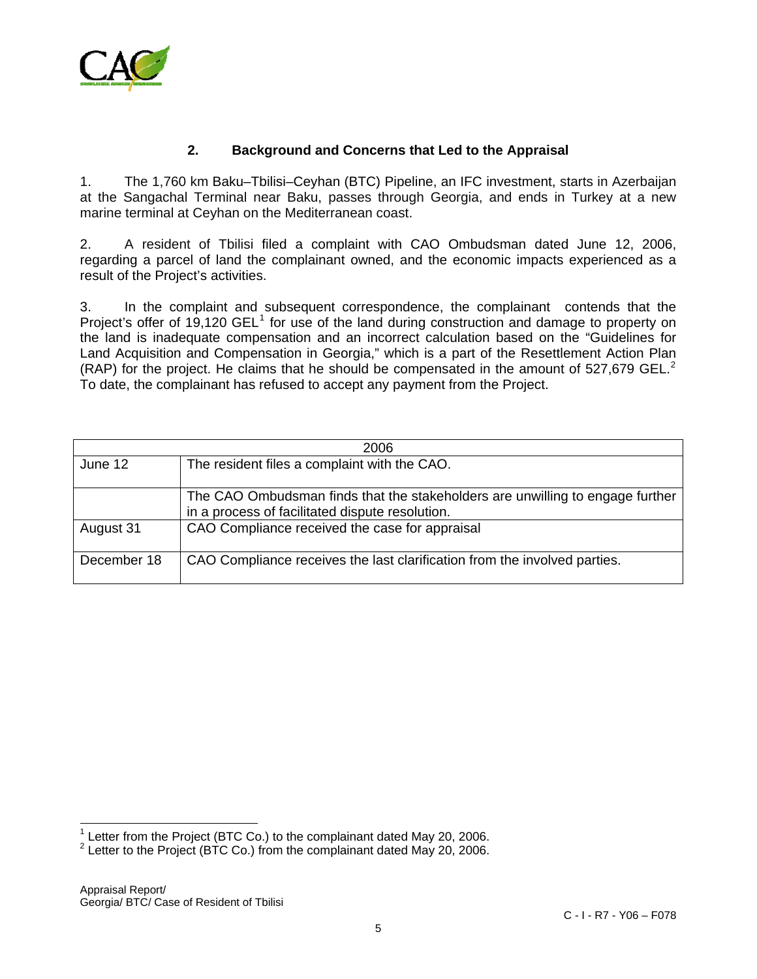

### **2. Background and Concerns that Led to the Appraisal**

1. The 1,760 km Baku–Tbilisi–Ceyhan (BTC) Pipeline, an IFC investment, starts in Azerbaijan at the Sangachal Terminal near Baku, passes through Georgia, and ends in Turkey at a new marine terminal at Ceyhan on the Mediterranean coast.

2. A resident of Tbilisi filed a complaint with CAO Ombudsman dated June 12, 2006, regarding a parcel of land the complainant owned, and the economic impacts experienced as a result of the Project's activities.

3. In the complaint and subsequent correspondence, the complainant contends that the Project's offer of [1](#page-4-0)9,120  $GEL<sup>1</sup>$  for use of the land during construction and damage to property on the land is inadequate compensation and an incorrect calculation based on the "Guidelines for Land Acquisition and Compensation in Georgia," which is a part of the Resettlement Action Plan (RAP) for the project. He claims that he should be compensated in the amount of 5[2](#page-4-1)7,679 GEL.<sup>2</sup> To date, the complainant has refused to accept any payment from the Project.

| 2006        |                                                                                                                                  |
|-------------|----------------------------------------------------------------------------------------------------------------------------------|
| June 12     | The resident files a complaint with the CAO.                                                                                     |
|             | The CAO Ombudsman finds that the stakeholders are unwilling to engage further<br>in a process of facilitated dispute resolution. |
| August 31   | CAO Compliance received the case for appraisal                                                                                   |
| December 18 | CAO Compliance receives the last clarification from the involved parties.                                                        |

<span id="page-4-0"></span> 1 Letter from the Project (BTC Co.) to the complainant dated May 20, 2006.

<span id="page-4-1"></span><sup>&</sup>lt;sup>2</sup> Letter to the Project (BTC Co.) from the complainant dated May 20, 2006.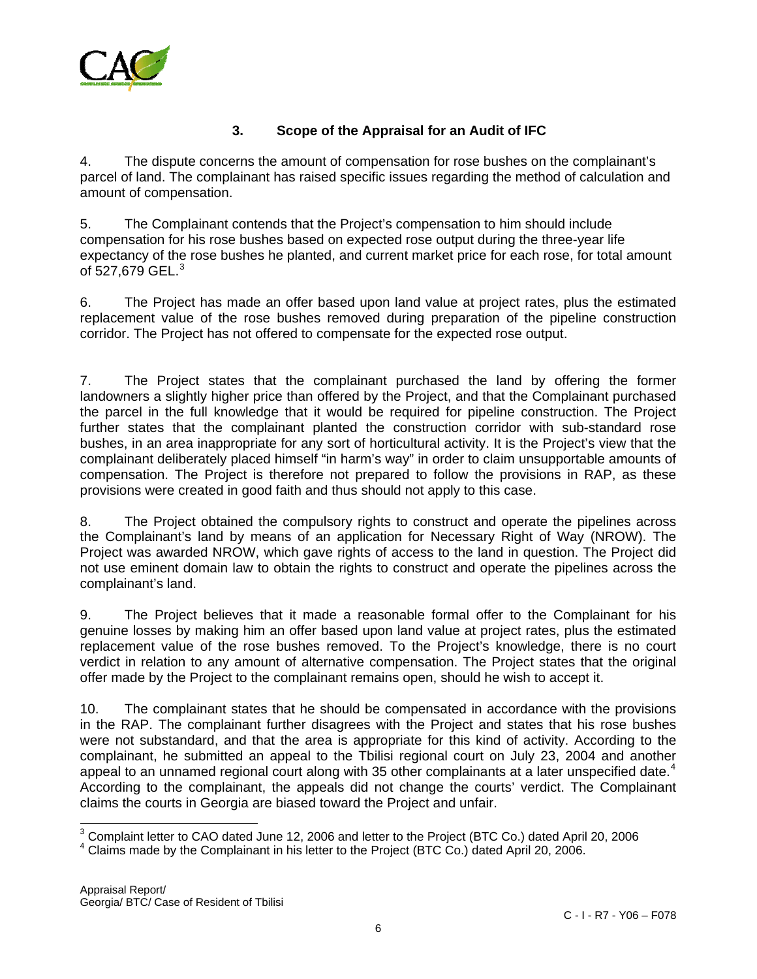

## **3. Scope of the Appraisal for an Audit of IFC**

4. The dispute concerns the amount of compensation for rose bushes on the complainant's parcel of land. The complainant has raised specific issues regarding the method of calculation and amount of compensation.

5. The Complainant contends that the Project's compensation to him should include compensation for his rose bushes based on expected rose output during the three-year life expectancy of the rose bushes he planted, and current market price for each rose, for total amount of 527,679 GEL. $3$ 

6. The Project has made an offer based upon land value at project rates, plus the estimated replacement value of the rose bushes removed during preparation of the pipeline construction corridor. The Project has not offered to compensate for the expected rose output.

7. The Project states that the complainant purchased the land by offering the former landowners a slightly higher price than offered by the Project, and that the Complainant purchased the parcel in the full knowledge that it would be required for pipeline construction. The Project further states that the complainant planted the construction corridor with sub-standard rose bushes, in an area inappropriate for any sort of horticultural activity. It is the Project's view that the complainant deliberately placed himself "in harm's way" in order to claim unsupportable amounts of compensation. The Project is therefore not prepared to follow the provisions in RAP, as these provisions were created in good faith and thus should not apply to this case.

8. The Project obtained the compulsory rights to construct and operate the pipelines across the Complainant's land by means of an application for Necessary Right of Way (NROW). The Project was awarded NROW, which gave rights of access to the land in question. The Project did not use eminent domain law to obtain the rights to construct and operate the pipelines across the complainant's land.

9. The Project believes that it made a reasonable formal offer to the Complainant for his genuine losses by making him an offer based upon land value at project rates, plus the estimated replacement value of the rose bushes removed. To the Project's knowledge, there is no court verdict in relation to any amount of alternative compensation. The Project states that the original offer made by the Project to the complainant remains open, should he wish to accept it.

10. The complainant states that he should be compensated in accordance with the provisions in the RAP. The complainant further disagrees with the Project and states that his rose bushes were not substandard, and that the area is appropriate for this kind of activity. According to the complainant, he submitted an appeal to the Tbilisi regional court on July 23, 2004 and another appeal to an unnamed regional court along with 35 other complainants at a later unspecified date.<sup>[4](#page-5-1)</sup> According to the complainant, the appeals did not change the courts' verdict. The Complainant claims the courts in Georgia are biased toward the Project and unfair.

 $\overline{\phantom{a}}$  $3$  Complaint letter to CAO dated June 12, 2006 and letter to the Project (BTC Co.) dated April 20, 2006

<span id="page-5-1"></span><span id="page-5-0"></span> $4$  Claims made by the Complainant in his letter to the Project (BTC Co.) dated April 20, 2006.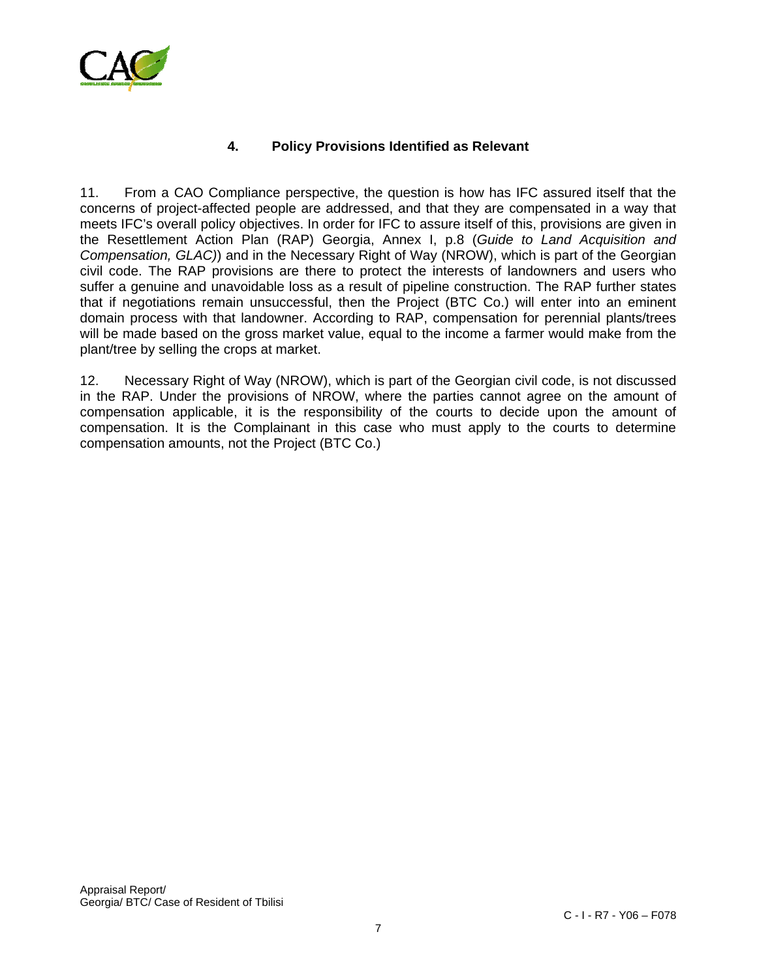

# **4. Policy Provisions Identified as Relevant**

11. From a CAO Compliance perspective, the question is how has IFC assured itself that the concerns of project-affected people are addressed, and that they are compensated in a way that meets IFC's overall policy objectives. In order for IFC to assure itself of this, provisions are given in the Resettlement Action Plan (RAP) Georgia, Annex I, p.8 (*Guide to Land Acquisition and Compensation, GLAC)*) and in the Necessary Right of Way (NROW), which is part of the Georgian civil code. The RAP provisions are there to protect the interests of landowners and users who suffer a genuine and unavoidable loss as a result of pipeline construction. The RAP further states that if negotiations remain unsuccessful, then the Project (BTC Co.) will enter into an eminent domain process with that landowner. According to RAP, compensation for perennial plants/trees will be made based on the gross market value, equal to the income a farmer would make from the plant/tree by selling the crops at market.

12. Necessary Right of Way (NROW), which is part of the Georgian civil code, is not discussed in the RAP. Under the provisions of NROW, where the parties cannot agree on the amount of compensation applicable, it is the responsibility of the courts to decide upon the amount of compensation. It is the Complainant in this case who must apply to the courts to determine compensation amounts, not the Project (BTC Co.)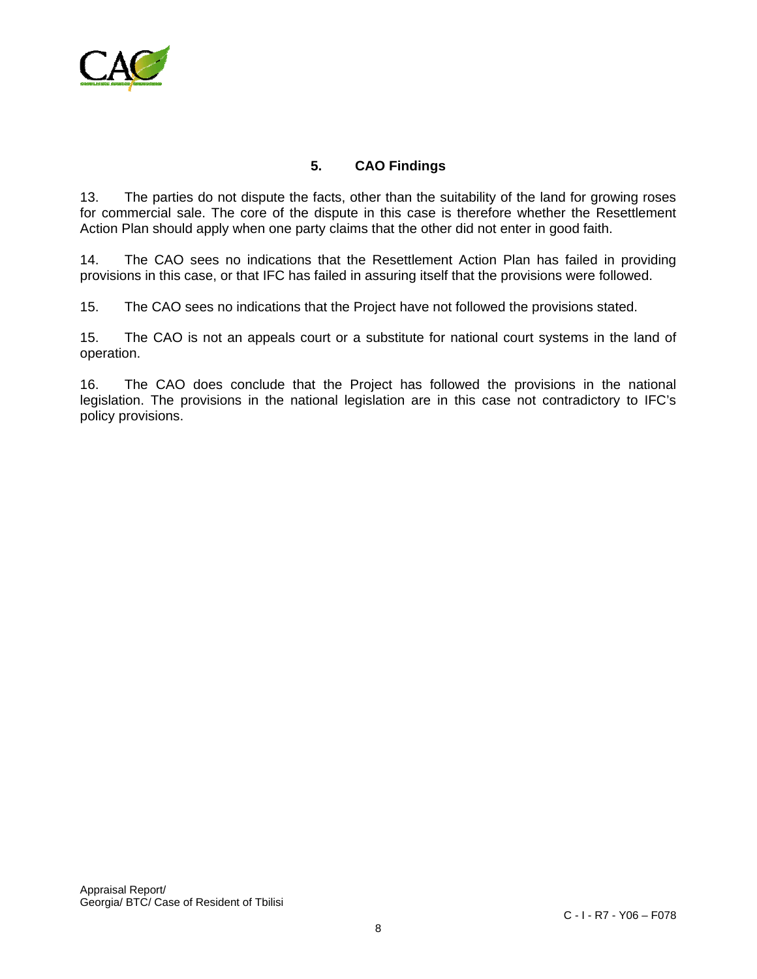

# **5. CAO Findings**

13. The parties do not dispute the facts, other than the suitability of the land for growing roses for commercial sale. The core of the dispute in this case is therefore whether the Resettlement Action Plan should apply when one party claims that the other did not enter in good faith.

14. The CAO sees no indications that the Resettlement Action Plan has failed in providing provisions in this case, or that IFC has failed in assuring itself that the provisions were followed.

15. The CAO sees no indications that the Project have not followed the provisions stated.

15. The CAO is not an appeals court or a substitute for national court systems in the land of operation.

16. The CAO does conclude that the Project has followed the provisions in the national legislation. The provisions in the national legislation are in this case not contradictory to IFC's policy provisions.